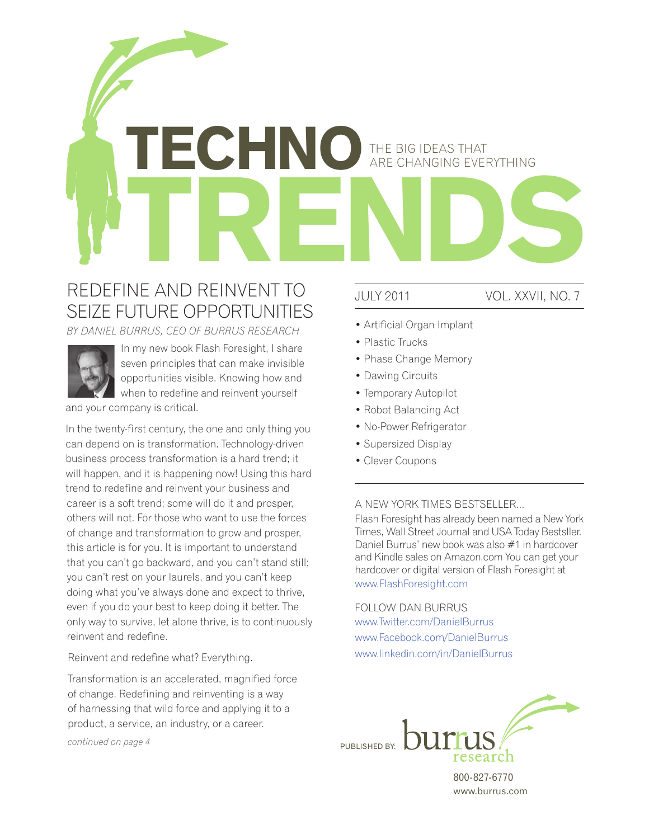# ECHI TRENDS THE BIG IDEAS THAT ARE CHANGING EVERYTHING

## REDEFINE AND REINVENT TO SEIZE FUTURE OPPORTUNITIES

*By Daniel Burrus, CEO of Burrus Research*



In my new book Flash Foresight, I share seven principles that can make invisible opportunities visible. Knowing how and when to redefine and reinvent yourself

and your company is critical.

In the twenty-first century, the one and only thing you can depend on is transformation. Technology-driven business process transformation is a hard trend; it will happen, and it is happening now! Using this hard trend to redefine and reinvent your business and career is a soft trend; some will do it and prosper, others will not. For those who want to use the forces of change and transformation to grow and prosper, this article is for you. It is important to understand that you can't go backward, and you can't stand still; you can't rest on your laurels, and you can't keep doing what you've always done and expect to thrive, even if you do your best to keep doing it better. The only way to survive, let alone thrive, is to continuously reinvent and redefine.

Reinvent and redefine what? Everything.

Transformation is an accelerated, magnified force of change. Redefining and reinventing is a way of harnessing that wild force and applying it to a product, a service, an industry, or a career.

*continued on page 4*

JULY 2011 VOL. XXVII, NO. 7

- Artificial Organ Implant
- Plastic Trucks
- Phase Change Memory
- Dawing Circuits
- Temporary Autopilot
- Robot Balancing Act
- No-Power Refrigerator
- Supersized Display
- Clever Coupons

#### A New York Times BestSeller...

Flash Foresight has already been named a New York Times, Wall Street Journal and USA Today Bestsller. Daniel Burrus' new book was also #1 in hardcover and Kindle sales on Amazon.com You can get your hardcover or digital version of Flash Foresight at [www.FlashForesight.com](http://www.FlashForesight.com)

FOLLOW DAN BURRUS [www.Twitter.com/DanielBurrus](http://www.Twitter.com/DanielBurrus) [www.Facebook.com/DanielBurrus](http://www.Facebook.com/DanielBurrus) [www.linkedin.com/in/DanielBurrus](http://www.linkedin.com/in/DanielBurrus)



800-827-6770 [www.burrus.com](http://www.burrus.com)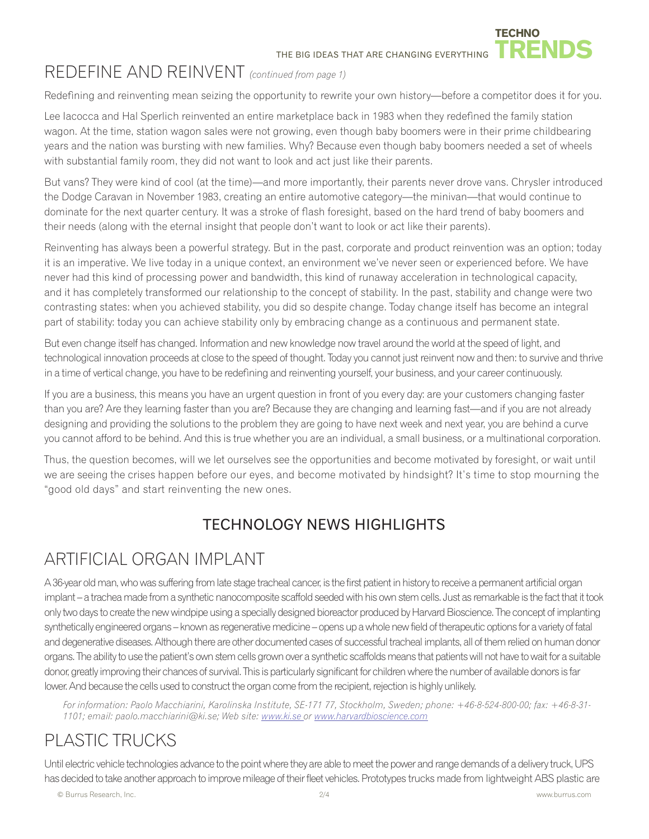## THE BIG IDEAS THAT ARE CHANGING EVERYTHING **TRENDS**

**TECHNO** 

## REDEFINE AND REINVENT *(continued from page 1)*

Redefining and reinventing mean seizing the opportunity to rewrite your own history—before a competitor does it for you.

Lee Iacocca and Hal Sperlich reinvented an entire marketplace back in 1983 when they redefined the family station wagon. At the time, station wagon sales were not growing, even though baby boomers were in their prime childbearing years and the nation was bursting with new families. Why? Because even though baby boomers needed a set of wheels with substantial family room, they did not want to look and act just like their parents.

But vans? They were kind of cool (at the time)—and more importantly, their parents never drove vans. Chrysler introduced the Dodge Caravan in November 1983, creating an entire automotive category—the minivan—that would continue to dominate for the next quarter century. It was a stroke of flash foresight, based on the hard trend of baby boomers and their needs (along with the eternal insight that people don't want to look or act like their parents).

Reinventing has always been a powerful strategy. But in the past, corporate and product reinvention was an option; today it is an imperative. We live today in a unique context, an environment we've never seen or experienced before. We have never had this kind of processing power and bandwidth, this kind of runaway acceleration in technological capacity, and it has completely transformed our relationship to the concept of stability. In the past, stability and change were two contrasting states: when you achieved stability, you did so despite change. Today change itself has become an integral part of stability: today you can achieve stability only by embracing change as a continuous and permanent state.

But even change itself has changed. Information and new knowledge now travel around the world at the speed of light, and technological innovation proceeds at close to the speed of thought. Today you cannot just reinvent now and then: to survive and thrive in a time of vertical change, you have to be redefining and reinventing yourself, your business, and your career continuously.

If you are a business, this means you have an urgent question in front of you every day: are your customers changing faster than you are? Are they learning faster than you are? Because they are changing and learning fast—and if you are not already designing and providing the solutions to the problem they are going to have next week and next year, you are behind a curve you cannot afford to be behind. And this is true whether you are an individual, a small business, or a multinational corporation.

Thus, the question becomes, will we let ourselves see the opportunities and become motivated by foresight, or wait until we are seeing the crises happen before our eyes, and become motivated by hindsight? It's time to stop mourning the "good old days" and start reinventing the new ones.

## Technology News Highlights

## ARTIFICIAL ORGAN IMPLANT

A 36-year old man, who was suffering from late stage tracheal cancer, is the first patient in history to receive a permanent artificial organ implant – a trachea made from a synthetic nanocomposite scaffold seeded with his own stem cells. Just as remarkable is the fact that it took only two days to create the new windpipe using a specially designed bioreactor produced by Harvard Bioscience. The concept of implanting synthetically engineered organs – known as regenerative medicine – opens up a whole new field of therapeutic options for a variety of fatal and degenerative diseases. Although there are other documented cases of successful tracheal implants, all of them relied on human donor organs. The ability to use the patient's own stem cells grown over a synthetic scaffolds means that patients will not have to wait for a suitable donor, greatly improving their chances of survival. This is particularly significant for children where the number of available donors is far lower. And because the cells used to construct the organ come from the recipient, rejection is highly unlikely.

*For information: Paolo Macchiarini, Karolinska Institute, SE-171 77, Stockholm, Sweden; phone: +46-8-524-800-00; fax: +46-8-31- 1101; email: [paolo.macchiarini@ki.se; W](mailto:paolo.macchiarini@ki.se)eb site: [www.ki.se](http://www.ki.se) or [www.harvardbioscience.com](http://www.harvardbioscience.com)*

## PLASTIC TRUCKS

Until electric vehicle technologies advance to the point where they are able to meet the power and range demands of a delivery truck, UPS has decided to take another approach to improve mileage of their fleet vehicles. Prototypes trucks made from lightweight ABS plastic are

© Burrus Research, Inc. 2/4 [www.burrus.com](http://www.burrus.com)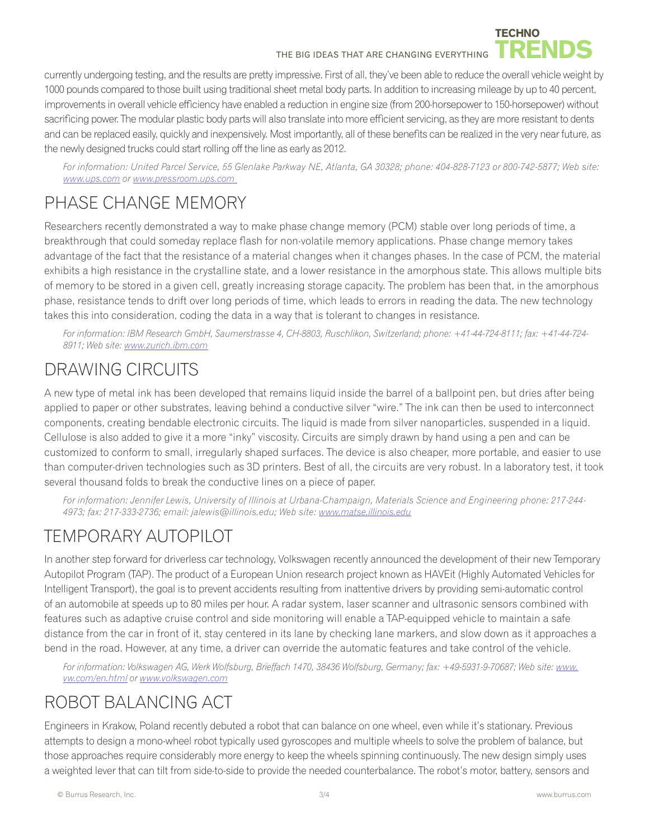#### THE BIG IDEAS THAT ARE CHANGING EVERYTHING



currently undergoing testing, and the results are pretty impressive. First of all, they've been able to reduce the overall vehicle weight by 1000 pounds compared to those built using traditional sheet metal body parts. In addition to increasing mileage by up to 40 percent, improvements in overall vehicle efficiency have enabled a reduction in engine size (from 200-horsepower to 150-horsepower) without sacrificing power. The modular plastic body parts will also translate into more efficient servicing, as they are more resistant to dents and can be replaced easily, quickly and inexpensively. Most importantly, all of these benefits can be realized in the very near future, as the newly designed trucks could start rolling off the line as early as 2012.

*For information: United Parcel Service, 55 Glenlake Parkway NE, Atlanta, GA 30328; phone: 404-828-7123 or 800-742-5877; Web site: [www.ups.com or](http://www.ups.com) [www.pressroom.ups.com](http://www.pressroom.ups.com)* 

## PHASE CHANGE MEMORY

Researchers recently demonstrated a way to make phase change memory (PCM) stable over long periods of time, a breakthrough that could someday replace flash for non-volatile memory applications. Phase change memory takes advantage of the fact that the resistance of a material changes when it changes phases. In the case of PCM, the material exhibits a high resistance in the crystalline state, and a lower resistance in the amorphous state. This allows multiple bits of memory to be stored in a given cell, greatly increasing storage capacity. The problem has been that, in the amorphous phase, resistance tends to drift over long periods of time, which leads to errors in reading the data. The new technology takes this into consideration, coding the data in a way that is tolerant to changes in resistance.

*For information: IBM Research GmbH, Saumerstrasse 4, CH-8803, Ruschlikon, Switzerland; phone: +41-44-724-8111; fax: +41-44-724- 8911; Web site: [www.zurich.ibm.com](http://www.zurich.ibm.com)*

## DRAWING CIRCUITS

A new type of metal ink has been developed that remains liquid inside the barrel of a ballpoint pen, but dries after being applied to paper or other substrates, leaving behind a conductive silver "wire." The ink can then be used to interconnect components, creating bendable electronic circuits. The liquid is made from silver nanoparticles, suspended in a liquid. Cellulose is also added to give it a more "inky" viscosity. Circuits are simply drawn by hand using a pen and can be customized to conform to small, irregularly shaped surfaces. The device is also cheaper, more portable, and easier to use than computer-driven technologies such as 3D printers. Best of all, the circuits are very robust. In a laboratory test, it took several thousand folds to break the conductive lines on a piece of paper.

*For information: Jennifer Lewis, University of Illinois at Urbana-Champaign, Materials Science and Engineering phone: 217-244- 4973; fax: 217-333-2736; email: [jalewis@illinois.edu; W](mailto:jalewis@illinois.edu)eb site: [www.matse.illinois.edu](http://www.matse.illinois.edu)*

## TEMPORARY AUTOPILOT

In another step forward for driverless car technology, Volkswagen recently announced the development of their new Temporary Autopilot Program (TAP). The product of a European Union research project known as HAVEit (Highly Automated Vehicles for Intelligent Transport), the goal is to prevent accidents resulting from inattentive drivers by providing semi-automatic control of an automobile at speeds up to 80 miles per hour. A radar system, laser scanner and ultrasonic sensors combined with features such as adaptive cruise control and side monitoring will enable a TAP-equipped vehicle to maintain a safe distance from the car in front of it, stay centered in its lane by checking lane markers, and slow down as it approaches a bend in the road. However, at any time, a driver can override the automatic features and take control of the vehicle.

For information: Volkswagen AG, Werk Wolfsburg, Brieffach 1470, 38436 Wolfsburg, Germany; fax: +49-5931-9-70687; Web site: [www.](http://www.vw.com/en.html) *[vw.com/en.html or](http://www.vw.com/en.html) [www.volkswagen.com](http://www.volkswagen.com)* 

## ROBOT BALANCING ACT

Engineers in Krakow, Poland recently debuted a robot that can balance on one wheel, even while it's stationary. Previous attempts to design a mono-wheel robot typically used gyroscopes and multiple wheels to solve the problem of balance, but those approaches require considerably more energy to keep the wheels spinning continuously. The new design simply uses a weighted lever that can tilt from side-to-side to provide the needed counterbalance. The robot's motor, battery, sensors and